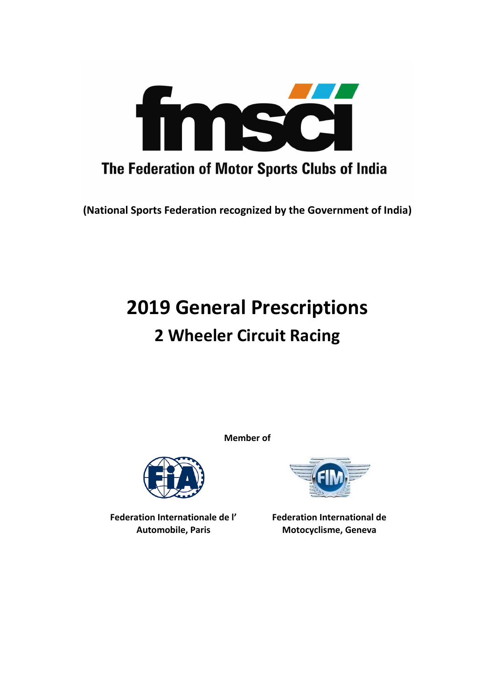

**(National Sports Federation recognized by the Government of India)**

# **2019 General Prescriptions 2 Wheeler Circuit Racing**

**Member of**



**Federation Internationale de l' Automobile, Paris**



**Federation International de Motocyclisme, Geneva**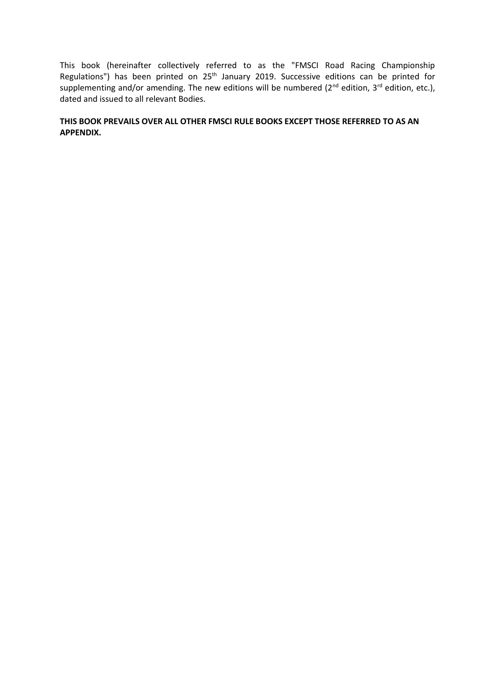This book (hereinafter collectively referred to as the "FMSCI Road Racing Championship Regulations") has been printed on 25<sup>th</sup> January 2019. Successive editions can be printed for supplementing and/or amending. The new editions will be numbered ( $2^{nd}$  edition,  $3^{rd}$  edition, etc.), dated and issued to all relevant Bodies.

# **THIS BOOK PREVAILS OVER ALL OTHER FMSCI RULE BOOKS EXCEPT THOSE REFERRED TO AS AN APPENDIX.**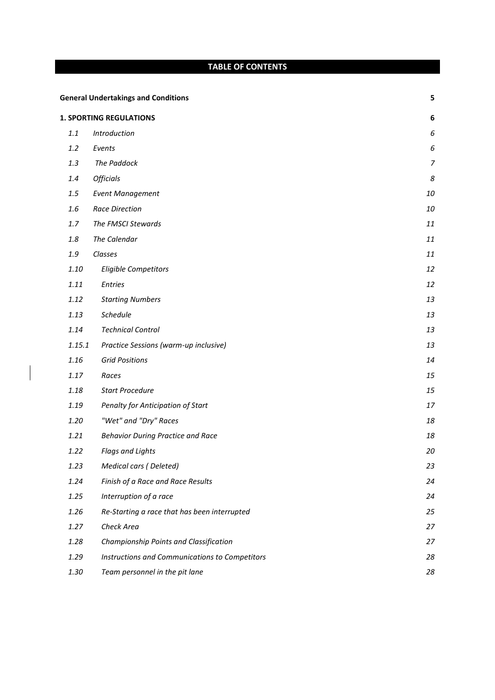# **TABLE OF CONTENTS**

| <b>General Undertakings and Conditions</b> |                                                |                |
|--------------------------------------------|------------------------------------------------|----------------|
|                                            | <b>1. SPORTING REGULATIONS</b>                 | 6              |
| 1.1                                        | Introduction                                   | 6              |
| 1.2                                        | Events                                         | 6              |
| 1.3                                        | The Paddock                                    | $\overline{7}$ |
| $1.4\,$                                    | <b>Officials</b>                               | 8              |
| $1.5\,$                                    | <b>Event Management</b>                        | 10             |
| 1.6                                        | <b>Race Direction</b>                          | 10             |
| 1.7                                        | The FMSCI Stewards                             | 11             |
| $1.8\,$                                    | The Calendar                                   | 11             |
| 1.9                                        | Classes                                        | 11             |
| 1.10                                       | Eligible Competitors                           | 12             |
| 1.11                                       | <b>Entries</b>                                 | 12             |
| 1.12                                       | <b>Starting Numbers</b>                        | 13             |
| 1.13                                       | Schedule                                       | 13             |
| 1.14                                       | <b>Technical Control</b>                       | 13             |
| 1.15.1                                     | Practice Sessions (warm-up inclusive)          | 13             |
| 1.16                                       | <b>Grid Positions</b>                          | 14             |
| 1.17                                       | Races                                          | 15             |
| 1.18                                       | <b>Start Procedure</b>                         | 15             |
| 1.19                                       | Penalty for Anticipation of Start              | 17             |
| 1.20                                       | "Wet" and "Dry" Races                          | 18             |
| 1.21                                       | <b>Behavior During Practice and Race</b>       | 18             |
| 1.22                                       | <b>Flags and Lights</b>                        | 20             |
| 1.23                                       | <b>Medical cars (Deleted)</b>                  | 23             |
| 1.24                                       | Finish of a Race and Race Results              | 24             |
| 1.25                                       | Interruption of a race                         | 24             |
| 1.26                                       | Re-Starting a race that has been interrupted   | 25             |
| 1.27                                       | Check Area                                     | 27             |
| 1.28                                       | Championship Points and Classification         | 27             |
| 1.29                                       | Instructions and Communications to Competitors | 28             |
| 1.30                                       | Team personnel in the pit lane                 | 28             |

 $\overline{\phantom{a}}$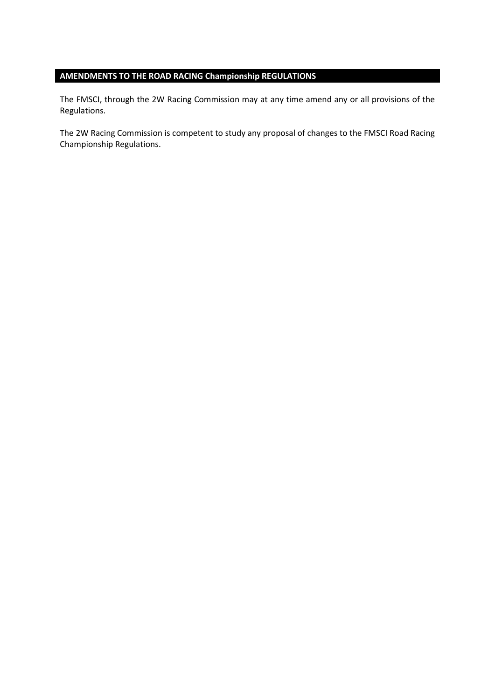# **AMENDMENTS TO THE ROAD RACING Championship REGULATIONS**

The FMSCI, through the 2W Racing Commission may at any time amend any or all provisions of the Regulations.

The 2W Racing Commission is competent to study any proposal of changes to the FMSCI Road Racing Championship Regulations.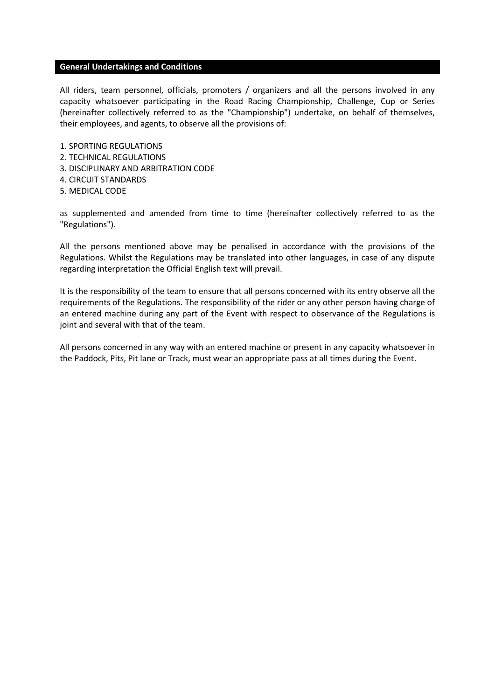#### **General Undertakings and Conditions**

All riders, team personnel, officials, promoters / organizers and all the persons involved in any capacity whatsoever participating in the Road Racing Championship, Challenge, Cup or Series (hereinafter collectively referred to as the "Championship") undertake, on behalf of themselves, their employees, and agents, to observe all the provisions of:

- 1. SPORTING REGULATIONS
- 2. TECHNICAL REGULATIONS
- 3. DISCIPLINARY AND ARBITRATION CODE
- 4. CIRCUIT STANDARDS
- 5. MEDICAL CODE

as supplemented and amended from time to time (hereinafter collectively referred to as the "Regulations").

All the persons mentioned above may be penalised in accordance with the provisions of the Regulations. Whilst the Regulations may be translated into other languages, in case of any dispute regarding interpretation the Official English text will prevail.

It is the responsibility of the team to ensure that all persons concerned with its entry observe all the requirements of the Regulations. The responsibility of the rider or any other person having charge of an entered machine during any part of the Event with respect to observance of the Regulations is joint and several with that of the team.

All persons concerned in any way with an entered machine or present in any capacity whatsoever in the Paddock, Pits, Pit lane or Track, must wear an appropriate pass at all times during the Event.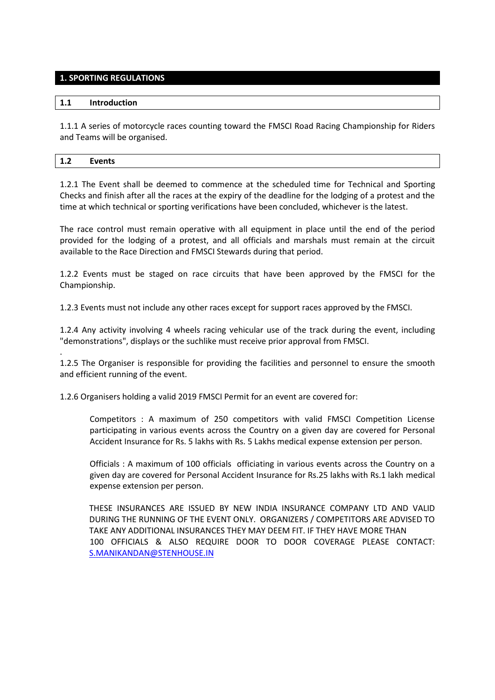# **1. SPORTING REGULATIONS**

## **1.1 Introduction**

.

1.1.1 A series of motorcycle races counting toward the FMSCI Road Racing Championship for Riders and Teams will be organised.

1.2.1 The Event shall be deemed to commence at the scheduled time for Technical and Sporting Checks and finish after all the races at the expiry of the deadline for the lodging of a protest and the time at which technical or sporting verifications have been concluded, whichever is the latest.

The race control must remain operative with all equipment in place until the end of the period provided for the lodging of a protest, and all officials and marshals must remain at the circuit available to the Race Direction and FMSCI Stewards during that period.

1.2.2 Events must be staged on race circuits that have been approved by the FMSCI for the Championship.

1.2.3 Events must not include any other races except for support races approved by the FMSCI.

1.2.4 Any activity involving 4 wheels racing vehicular use of the track during the event, including "demonstrations", displays or the suchlike must receive prior approval from FMSCI.

1.2.5 The Organiser is responsible for providing the facilities and personnel to ensure the smooth and efficient running of the event.

1.2.6 Organisers holding a valid 2019 FMSCI Permit for an event are covered for:

Competitors : A maximum of 250 competitors with valid FMSCI Competition License participating in various events across the Country on a given day are covered for Personal Accident Insurance for Rs. 5 lakhs with Rs. 5 Lakhs medical expense extension per person.

Officials : A maximum of 100 officials officiating in various events across the Country on a given day are covered for Personal Accident Insurance for Rs.25 lakhs with Rs.1 lakh medical expense extension per person.

THESE INSURANCES ARE ISSUED BY NEW INDIA INSURANCE COMPANY LTD AND VALID DURING THE RUNNING OF THE EVENT ONLY. ORGANIZERS / COMPETITORS ARE ADVISED TO TAKE ANY ADDITIONAL INSURANCES THEY MAY DEEM FIT. IF THEY HAVE MORE THAN 100 OFFICIALS & ALSO REQUIRE DOOR TO DOOR COVERAGE PLEASE CONTACT: [S.MANIKANDAN@STENHOUSE.IN](mailto:S.MANIKANDAN@STENHOUSE.IN)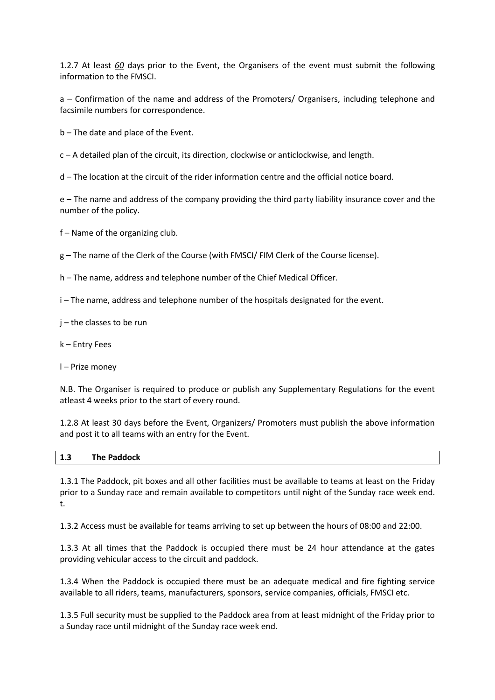1.2.7 At least *60* days prior to the Event, the Organisers of the event must submit the following information to the FMSCI.

a – Confirmation of the name and address of the Promoters/ Organisers, including telephone and facsimile numbers for correspondence.

b – The date and place of the Event.

c – A detailed plan of the circuit, its direction, clockwise or anticlockwise, and length.

d – The location at the circuit of the rider information centre and the official notice board.

e – The name and address of the company providing the third party liability insurance cover and the number of the policy.

f – Name of the organizing club.

g – The name of the Clerk of the Course (with FMSCI/ FIM Clerk of the Course license).

h – The name, address and telephone number of the Chief Medical Officer.

i – The name, address and telephone number of the hospitals designated for the event.

j – the classes to be run

k – Entry Fees

l – Prize money

N.B. The Organiser is required to produce or publish any Supplementary Regulations for the event atleast 4 weeks prior to the start of every round.

1.2.8 At least 30 days before the Event, Organizers/ Promoters must publish the above information and post it to all teams with an entry for the Event.

| 1.3 | <b>The Paddock</b> |
|-----|--------------------|

1.3.1 The Paddock, pit boxes and all other facilities must be available to teams at least on the Friday prior to a Sunday race and remain available to competitors until night of the Sunday race week end. t.

1.3.2 Access must be available for teams arriving to set up between the hours of 08:00 and 22:00.

1.3.3 At all times that the Paddock is occupied there must be 24 hour attendance at the gates providing vehicular access to the circuit and paddock.

1.3.4 When the Paddock is occupied there must be an adequate medical and fire fighting service available to all riders, teams, manufacturers, sponsors, service companies, officials, FMSCI etc.

1.3.5 Full security must be supplied to the Paddock area from at least midnight of the Friday prior to a Sunday race until midnight of the Sunday race week end.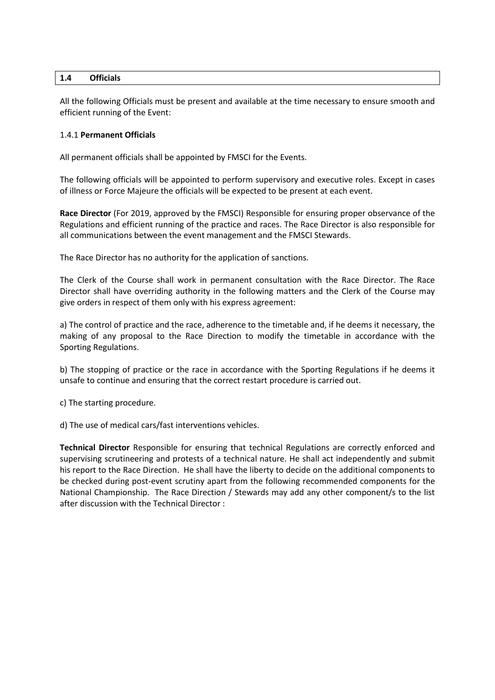# **1.4 Officials**

All the following Officials must be present and available at the time necessary to ensure smooth and efficient running of the Event:

# 1.4.1 **Permanent Officials**

All permanent officials shall be appointed by FMSCI for the Events.

The following officials will be appointed to perform supervisory and executive roles. Except in cases of illness or Force Majeure the officials will be expected to be present at each event.

**Race Director** (For 2019, approved by the FMSCI) Responsible for ensuring proper observance of the Regulations and efficient running of the practice and races. The Race Director is also responsible for all communications between the event management and the FMSCI Stewards.

The Race Director has no authority for the application of sanctions.

The Clerk of the Course shall work in permanent consultation with the Race Director. The Race Director shall have overriding authority in the following matters and the Clerk of the Course may give orders in respect of them only with his express agreement:

a) The control of practice and the race, adherence to the timetable and, if he deems it necessary, the making of any proposal to the Race Direction to modify the timetable in accordance with the Sporting Regulations.

b) The stopping of practice or the race in accordance with the Sporting Regulations if he deems it unsafe to continue and ensuring that the correct restart procedure is carried out.

c) The starting procedure.

d) The use of medical cars/fast interventions vehicles.

**Technical Director** Responsible for ensuring that technical Regulations are correctly enforced and supervising scrutineering and protests of a technical nature. He shall act independently and submit his report to the Race Direction. He shall have the liberty to decide on the additional components to be checked during post-event scrutiny apart from the following recommended components for the National Championship. The Race Direction / Stewards may add any other component/s to the list after discussion with the Technical Director :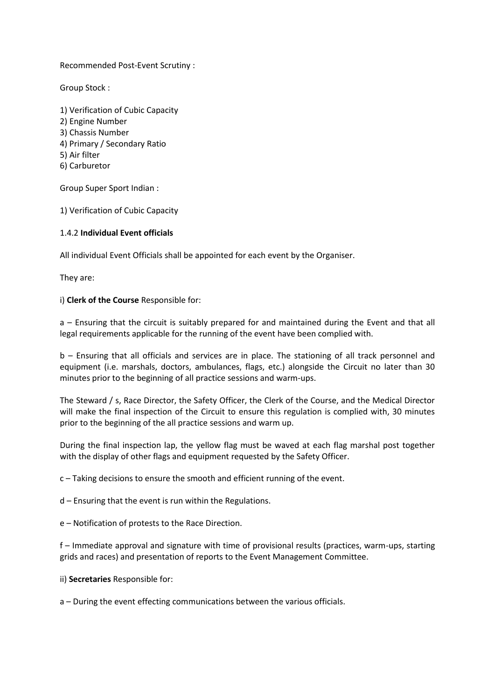Recommended Post-Event Scrutiny :

Group Stock :

1) Verification of Cubic Capacity 2) Engine Number 3) Chassis Number 4) Primary / Secondary Ratio 5) Air filter 6) Carburetor

Group Super Sport Indian :

1) Verification of Cubic Capacity

# 1.4.2 **Individual Event officials**

All individual Event Officials shall be appointed for each event by the Organiser.

They are:

# i) **Clerk of the Course** Responsible for:

a – Ensuring that the circuit is suitably prepared for and maintained during the Event and that all legal requirements applicable for the running of the event have been complied with.

b – Ensuring that all officials and services are in place. The stationing of all track personnel and equipment (i.e. marshals, doctors, ambulances, flags, etc.) alongside the Circuit no later than 30 minutes prior to the beginning of all practice sessions and warm-ups.

The Steward / s, Race Director, the Safety Officer, the Clerk of the Course, and the Medical Director will make the final inspection of the Circuit to ensure this regulation is complied with, 30 minutes prior to the beginning of the all practice sessions and warm up.

During the final inspection lap, the yellow flag must be waved at each flag marshal post together with the display of other flags and equipment requested by the Safety Officer.

c – Taking decisions to ensure the smooth and efficient running of the event.

d – Ensuring that the event is run within the Regulations.

e – Notification of protests to the Race Direction.

f – Immediate approval and signature with time of provisional results (practices, warm-ups, starting grids and races) and presentation of reports to the Event Management Committee.

ii) **Secretaries** Responsible for:

a – During the event effecting communications between the various officials.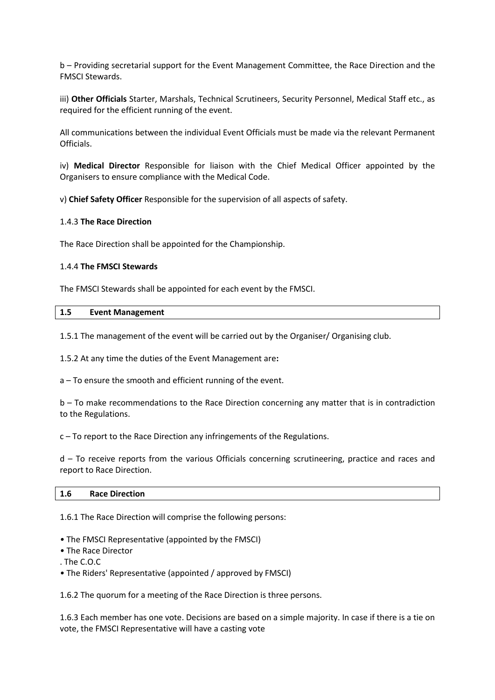b – Providing secretarial support for the Event Management Committee, the Race Direction and the FMSCI Stewards.

iii) **Other Officials** Starter, Marshals, Technical Scrutineers, Security Personnel, Medical Staff etc., as required for the efficient running of the event.

All communications between the individual Event Officials must be made via the relevant Permanent Officials.

iv) **Medical Director** Responsible for liaison with the Chief Medical Officer appointed by the Organisers to ensure compliance with the Medical Code.

v) **Chief Safety Officer** Responsible for the supervision of all aspects of safety.

# 1.4.3 **The Race Direction**

The Race Direction shall be appointed for the Championship.

## 1.4.4 **The FMSCI Stewards**

The FMSCI Stewards shall be appointed for each event by the FMSCI.

#### **1.5 Event Management**

1.5.1 The management of the event will be carried out by the Organiser/ Organising club.

1.5.2 At any time the duties of the Event Management are**:**

a – To ensure the smooth and efficient running of the event.

b – To make recommendations to the Race Direction concerning any matter that is in contradiction to the Regulations.

c – To report to the Race Direction any infringements of the Regulations.

d – To receive reports from the various Officials concerning scrutineering, practice and races and report to Race Direction.

#### **1.6 Race Direction**

1.6.1 The Race Direction will comprise the following persons:

- The FMSCI Representative (appointed by the FMSCI)
- The Race Director
- . The C.O.C
- The Riders' Representative (appointed / approved by FMSCI)

1.6.2 The quorum for a meeting of the Race Direction is three persons.

1.6.3 Each member has one vote. Decisions are based on a simple majority. In case if there is a tie on vote, the FMSCI Representative will have a casting vote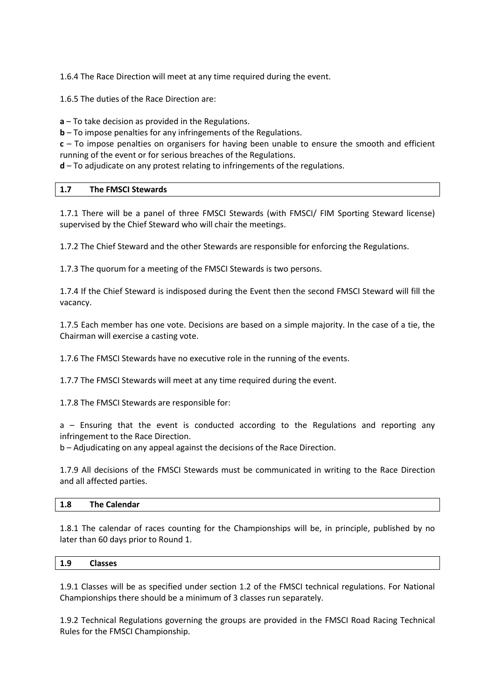1.6.4 The Race Direction will meet at any time required during the event.

1.6.5 The duties of the Race Direction are:

**a** – To take decision as provided in the Regulations.

**b** – To impose penalties for any infringements of the Regulations.

**c** – To impose penalties on organisers for having been unable to ensure the smooth and efficient running of the event or for serious breaches of the Regulations.

**d** – To adjudicate on any protest relating to infringements of the regulations.

# **1.7 The FMSCI Stewards**

1.7.1 There will be a panel of three FMSCI Stewards (with FMSCI/ FIM Sporting Steward license) supervised by the Chief Steward who will chair the meetings.

1.7.2 The Chief Steward and the other Stewards are responsible for enforcing the Regulations.

1.7.3 The quorum for a meeting of the FMSCI Stewards is two persons.

1.7.4 If the Chief Steward is indisposed during the Event then the second FMSCI Steward will fill the vacancy.

1.7.5 Each member has one vote. Decisions are based on a simple majority. In the case of a tie, the Chairman will exercise a casting vote.

1.7.6 The FMSCI Stewards have no executive role in the running of the events.

1.7.7 The FMSCI Stewards will meet at any time required during the event.

1.7.8 The FMSCI Stewards are responsible for:

a – Ensuring that the event is conducted according to the Regulations and reporting any infringement to the Race Direction.

b – Adjudicating on any appeal against the decisions of the Race Direction.

1.7.9 All decisions of the FMSCI Stewards must be communicated in writing to the Race Direction and all affected parties.

# **1.8 The Calendar**

1.8.1 The calendar of races counting for the Championships will be, in principle, published by no later than 60 days prior to Round 1.

# **1.9 Classes**

1.9.1 Classes will be as specified under section 1.2 of the FMSCI technical regulations. For National Championships there should be a minimum of 3 classes run separately.

1.9.2 Technical Regulations governing the groups are provided in the FMSCI Road Racing Technical Rules for the FMSCI Championship.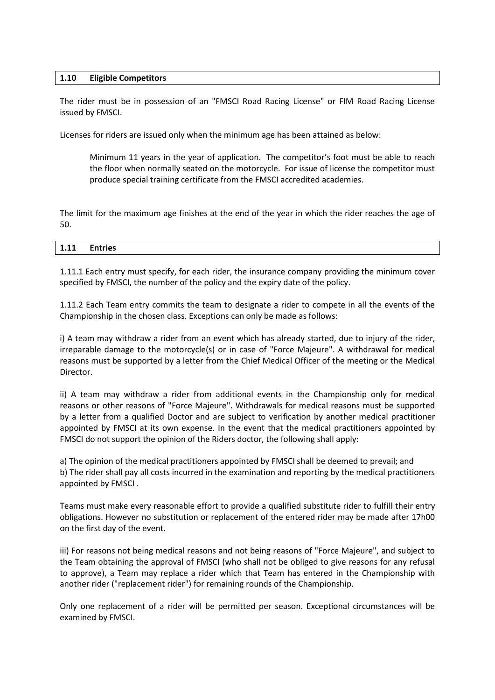# **1.10 Eligible Competitors**

The rider must be in possession of an "FMSCI Road Racing License" or FIM Road Racing License issued by FMSCI.

Licenses for riders are issued only when the minimum age has been attained as below:

Minimum 11 years in the year of application. The competitor's foot must be able to reach the floor when normally seated on the motorcycle. For issue of license the competitor must produce special training certificate from the FMSCI accredited academies.

The limit for the maximum age finishes at the end of the year in which the rider reaches the age of 50.

| 1.11<br><b>Entries</b><br>____ |
|--------------------------------|
|--------------------------------|

1.11.1 Each entry must specify, for each rider, the insurance company providing the minimum cover specified by FMSCI, the number of the policy and the expiry date of the policy.

1.11.2 Each Team entry commits the team to designate a rider to compete in all the events of the Championship in the chosen class. Exceptions can only be made as follows:

i) A team may withdraw a rider from an event which has already started, due to injury of the rider, irreparable damage to the motorcycle(s) or in case of "Force Majeure". A withdrawal for medical reasons must be supported by a letter from the Chief Medical Officer of the meeting or the Medical Director.

ii) A team may withdraw a rider from additional events in the Championship only for medical reasons or other reasons of "Force Majeure". Withdrawals for medical reasons must be supported by a letter from a qualified Doctor and are subject to verification by another medical practitioner appointed by FMSCI at its own expense. In the event that the medical practitioners appointed by FMSCI do not support the opinion of the Riders doctor, the following shall apply:

a) The opinion of the medical practitioners appointed by FMSCI shall be deemed to prevail; and b) The rider shall pay all costs incurred in the examination and reporting by the medical practitioners appointed by FMSCI .

Teams must make every reasonable effort to provide a qualified substitute rider to fulfill their entry obligations. However no substitution or replacement of the entered rider may be made after 17h00 on the first day of the event.

iii) For reasons not being medical reasons and not being reasons of "Force Majeure", and subject to the Team obtaining the approval of FMSCI (who shall not be obliged to give reasons for any refusal to approve), a Team may replace a rider which that Team has entered in the Championship with another rider ("replacement rider") for remaining rounds of the Championship.

Only one replacement of a rider will be permitted per season. Exceptional circumstances will be examined by FMSCI.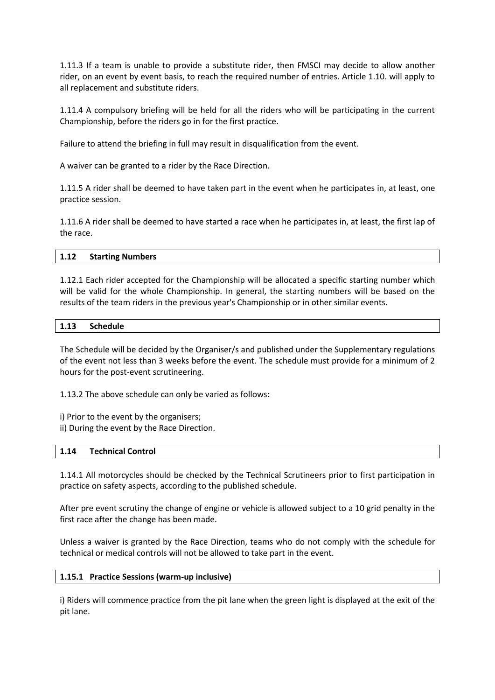1.11.3 If a team is unable to provide a substitute rider, then FMSCI may decide to allow another rider, on an event by event basis, to reach the required number of entries. Article 1.10. will apply to all replacement and substitute riders.

1.11.4 A compulsory briefing will be held for all the riders who will be participating in the current Championship, before the riders go in for the first practice.

Failure to attend the briefing in full may result in disqualification from the event.

A waiver can be granted to a rider by the Race Direction.

1.11.5 A rider shall be deemed to have taken part in the event when he participates in, at least, one practice session.

1.11.6 A rider shall be deemed to have started a race when he participates in, at least, the first lap of the race.

## **1.12 Starting Numbers**

1.12.1 Each rider accepted for the Championship will be allocated a specific starting number which will be valid for the whole Championship. In general, the starting numbers will be based on the results of the team riders in the previous year's Championship or in other similar events.

# **1.13 Schedule**

The Schedule will be decided by the Organiser/s and published under the Supplementary regulations of the event not less than 3 weeks before the event. The schedule must provide for a minimum of 2 hours for the post-event scrutineering.

1.13.2 The above schedule can only be varied as follows:

i) Prior to the event by the organisers;

ii) During the event by the Race Direction.

# **1.14 Technical Control**

1.14.1 All motorcycles should be checked by the Technical Scrutineers prior to first participation in practice on safety aspects, according to the published schedule.

After pre event scrutiny the change of engine or vehicle is allowed subject to a 10 grid penalty in the first race after the change has been made.

Unless a waiver is granted by the Race Direction, teams who do not comply with the schedule for technical or medical controls will not be allowed to take part in the event.

#### **1.15.1 Practice Sessions (warm-up inclusive)**

i) Riders will commence practice from the pit lane when the green light is displayed at the exit of the pit lane.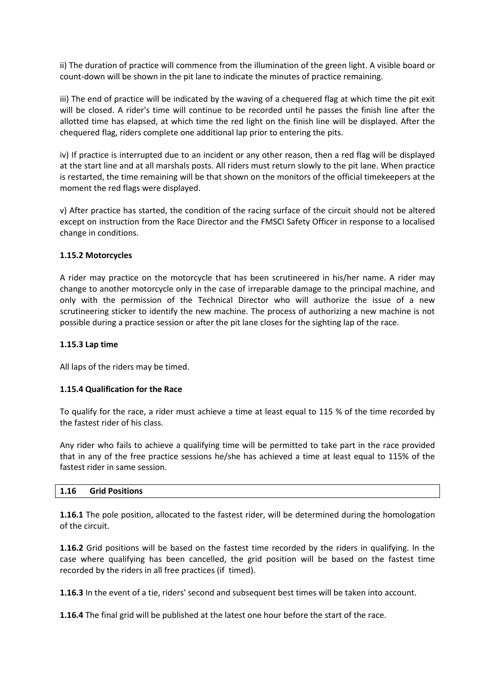ii) The duration of practice will commence from the illumination of the green light. A visible board or count-down will be shown in the pit lane to indicate the minutes of practice remaining.

iii) The end of practice will be indicated by the waving of a chequered flag at which time the pit exit will be closed. A rider's time will continue to be recorded until he passes the finish line after the allotted time has elapsed, at which time the red light on the finish line will be displayed. After the chequered flag, riders complete one additional lap prior to entering the pits.

iv) If practice is interrupted due to an incident or any other reason, then a red flag will be displayed at the start line and at all marshals posts. All riders must return slowly to the pit lane. When practice is restarted, the time remaining will be that shown on the monitors of the official timekeepers at the moment the red flags were displayed.

v) After practice has started, the condition of the racing surface of the circuit should not be altered except on instruction from the Race Director and the FMSCI Safety Officer in response to a localised change in conditions.

# **1.15.2 Motorcycles**

A rider may practice on the motorcycle that has been scrutineered in his/her name. A rider may change to another motorcycle only in the case of irreparable damage to the principal machine, and only with the permission of the Technical Director who will authorize the issue of a new scrutineering sticker to identify the new machine. The process of authorizing a new machine is not possible during a practice session or after the pit lane closes for the sighting lap of the race.

# **1.15.3 Lap time**

All laps of the riders may be timed.

# **1.15.4 Qualification for the Race**

To qualify for the race, a rider must achieve a time at least equal to 115 % of the time recorded by the fastest rider of his class.

Any rider who fails to achieve a qualifying time will be permitted to take part in the race provided that in any of the free practice sessions he/she has achieved a time at least equal to 115% of the fastest rider in same session.

# **1.16 Grid Positions**

**1.16.1** The pole position, allocated to the fastest rider, will be determined during the homologation of the circuit.

**1.16.2** Grid positions will be based on the fastest time recorded by the riders in qualifying. In the case where qualifying has been cancelled, the grid position will be based on the fastest time recorded by the riders in all free practices (if timed).

**1.16.3** In the event of a tie, riders' second and subsequent best times will be taken into account.

**1.16.4** The final grid will be published at the latest one hour before the start of the race.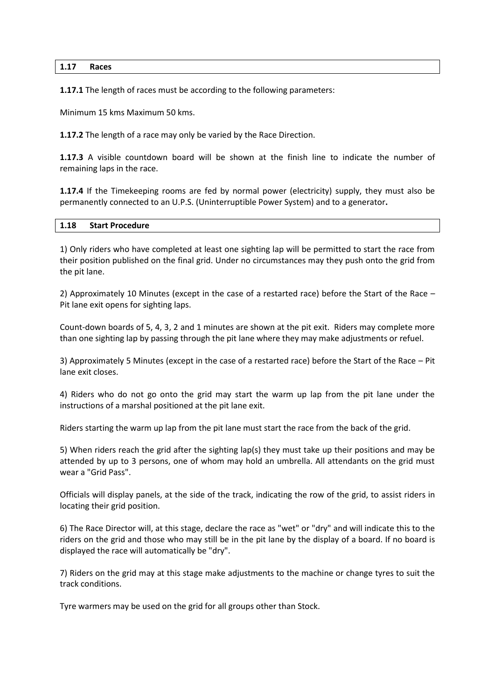#### **1.17 Races**

**1.17.1** The length of races must be according to the following parameters:

Minimum 15 kms Maximum 50 kms.

**1.17.2** The length of a race may only be varied by the Race Direction.

**1.17.3** A visible countdown board will be shown at the finish line to indicate the number of remaining laps in the race.

**1.17.4** If the Timekeeping rooms are fed by normal power (electricity) supply, they must also be permanently connected to an U.P.S. (Uninterruptible Power System) and to a generator**.**

#### **1.18 Start Procedure**

1) Only riders who have completed at least one sighting lap will be permitted to start the race from their position published on the final grid. Under no circumstances may they push onto the grid from the pit lane.

2) Approximately 10 Minutes (except in the case of a restarted race) before the Start of the Race – Pit lane exit opens for sighting laps.

Count-down boards of 5, 4, 3, 2 and 1 minutes are shown at the pit exit. Riders may complete more than one sighting lap by passing through the pit lane where they may make adjustments or refuel.

3) Approximately 5 Minutes (except in the case of a restarted race) before the Start of the Race – Pit lane exit closes.

4) Riders who do not go onto the grid may start the warm up lap from the pit lane under the instructions of a marshal positioned at the pit lane exit.

Riders starting the warm up lap from the pit lane must start the race from the back of the grid.

5) When riders reach the grid after the sighting lap(s) they must take up their positions and may be attended by up to 3 persons, one of whom may hold an umbrella. All attendants on the grid must wear a "Grid Pass".

Officials will display panels, at the side of the track, indicating the row of the grid, to assist riders in locating their grid position.

6) The Race Director will, at this stage, declare the race as "wet" or "dry" and will indicate this to the riders on the grid and those who may still be in the pit lane by the display of a board. If no board is displayed the race will automatically be "dry".

7) Riders on the grid may at this stage make adjustments to the machine or change tyres to suit the track conditions.

Tyre warmers may be used on the grid for all groups other than Stock.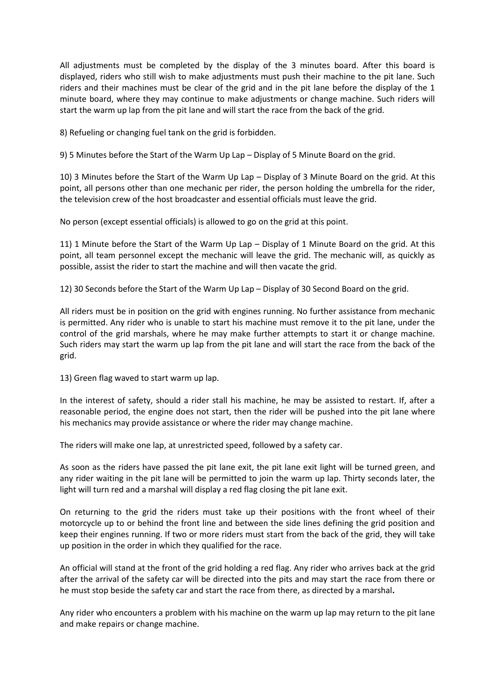All adjustments must be completed by the display of the 3 minutes board. After this board is displayed, riders who still wish to make adjustments must push their machine to the pit lane. Such riders and their machines must be clear of the grid and in the pit lane before the display of the 1 minute board, where they may continue to make adjustments or change machine. Such riders will start the warm up lap from the pit lane and will start the race from the back of the grid.

8) Refueling or changing fuel tank on the grid is forbidden.

9) 5 Minutes before the Start of the Warm Up Lap – Display of 5 Minute Board on the grid.

10) 3 Minutes before the Start of the Warm Up Lap – Display of 3 Minute Board on the grid. At this point, all persons other than one mechanic per rider, the person holding the umbrella for the rider, the television crew of the host broadcaster and essential officials must leave the grid.

No person (except essential officials) is allowed to go on the grid at this point.

11) 1 Minute before the Start of the Warm Up Lap – Display of 1 Minute Board on the grid. At this point, all team personnel except the mechanic will leave the grid. The mechanic will, as quickly as possible, assist the rider to start the machine and will then vacate the grid.

12) 30 Seconds before the Start of the Warm Up Lap – Display of 30 Second Board on the grid.

All riders must be in position on the grid with engines running. No further assistance from mechanic is permitted. Any rider who is unable to start his machine must remove it to the pit lane, under the control of the grid marshals, where he may make further attempts to start it or change machine. Such riders may start the warm up lap from the pit lane and will start the race from the back of the grid.

13) Green flag waved to start warm up lap.

In the interest of safety, should a rider stall his machine, he may be assisted to restart. If, after a reasonable period, the engine does not start, then the rider will be pushed into the pit lane where his mechanics may provide assistance or where the rider may change machine.

The riders will make one lap, at unrestricted speed, followed by a safety car.

As soon as the riders have passed the pit lane exit, the pit lane exit light will be turned green, and any rider waiting in the pit lane will be permitted to join the warm up lap. Thirty seconds later, the light will turn red and a marshal will display a red flag closing the pit lane exit.

On returning to the grid the riders must take up their positions with the front wheel of their motorcycle up to or behind the front line and between the side lines defining the grid position and keep their engines running. If two or more riders must start from the back of the grid, they will take up position in the order in which they qualified for the race.

An official will stand at the front of the grid holding a red flag. Any rider who arrives back at the grid after the arrival of the safety car will be directed into the pits and may start the race from there or he must stop beside the safety car and start the race from there, as directed by a marshal**.**

Any rider who encounters a problem with his machine on the warm up lap may return to the pit lane and make repairs or change machine.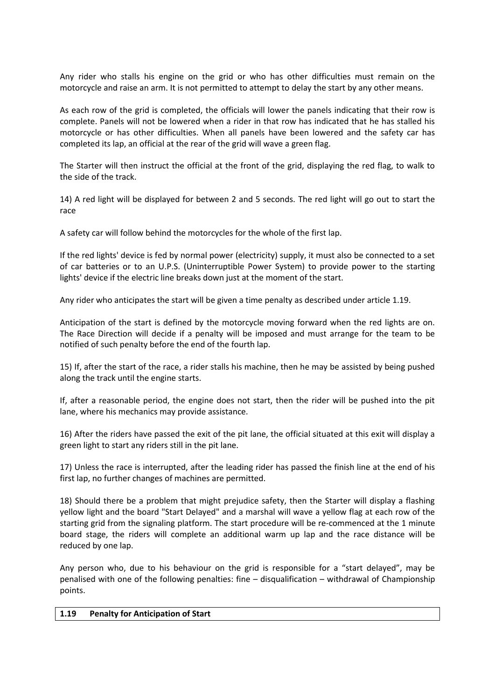Any rider who stalls his engine on the grid or who has other difficulties must remain on the motorcycle and raise an arm. It is not permitted to attempt to delay the start by any other means.

As each row of the grid is completed, the officials will lower the panels indicating that their row is complete. Panels will not be lowered when a rider in that row has indicated that he has stalled his motorcycle or has other difficulties. When all panels have been lowered and the safety car has completed its lap, an official at the rear of the grid will wave a green flag.

The Starter will then instruct the official at the front of the grid, displaying the red flag, to walk to the side of the track.

14) A red light will be displayed for between 2 and 5 seconds. The red light will go out to start the race

A safety car will follow behind the motorcycles for the whole of the first lap.

If the red lights' device is fed by normal power (electricity) supply, it must also be connected to a set of car batteries or to an U.P.S. (Uninterruptible Power System) to provide power to the starting lights' device if the electric line breaks down just at the moment of the start.

Any rider who anticipates the start will be given a time penalty as described under article 1.19.

Anticipation of the start is defined by the motorcycle moving forward when the red lights are on. The Race Direction will decide if a penalty will be imposed and must arrange for the team to be notified of such penalty before the end of the fourth lap.

15) If, after the start of the race, a rider stalls his machine, then he may be assisted by being pushed along the track until the engine starts.

If, after a reasonable period, the engine does not start, then the rider will be pushed into the pit lane, where his mechanics may provide assistance.

16) After the riders have passed the exit of the pit lane, the official situated at this exit will display a green light to start any riders still in the pit lane.

17) Unless the race is interrupted, after the leading rider has passed the finish line at the end of his first lap, no further changes of machines are permitted.

18) Should there be a problem that might prejudice safety, then the Starter will display a flashing yellow light and the board "Start Delayed" and a marshal will wave a yellow flag at each row of the starting grid from the signaling platform. The start procedure will be re-commenced at the 1 minute board stage, the riders will complete an additional warm up lap and the race distance will be reduced by one lap.

Any person who, due to his behaviour on the grid is responsible for a "start delayed", may be penalised with one of the following penalties: fine – disqualification – withdrawal of Championship points.

#### **1.19 Penalty for Anticipation of Start**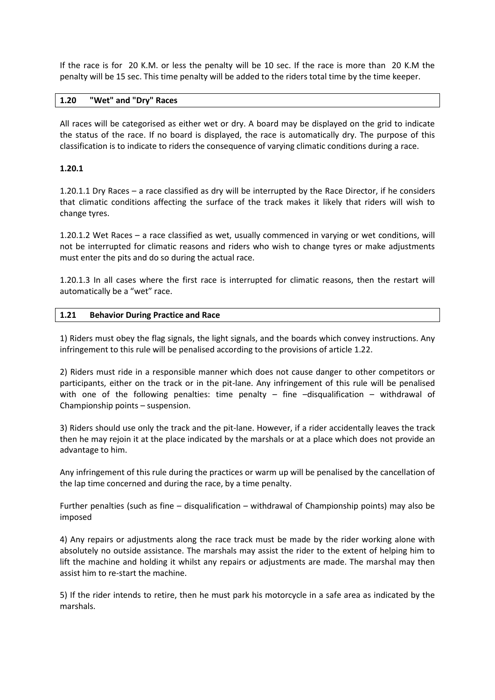If the race is for 20 K.M. or less the penalty will be 10 sec. If the race is more than 20 K.M the penalty will be 15 sec. This time penalty will be added to the riders total time by the time keeper.

# **1.20 "Wet" and "Dry" Races**

All races will be categorised as either wet or dry. A board may be displayed on the grid to indicate the status of the race. If no board is displayed, the race is automatically dry. The purpose of this classification is to indicate to riders the consequence of varying climatic conditions during a race.

# **1.20.1**

1.20.1.1 Dry Races – a race classified as dry will be interrupted by the Race Director, if he considers that climatic conditions affecting the surface of the track makes it likely that riders will wish to change tyres.

1.20.1.2 Wet Races – a race classified as wet, usually commenced in varying or wet conditions, will not be interrupted for climatic reasons and riders who wish to change tyres or make adjustments must enter the pits and do so during the actual race.

1.20.1.3 In all cases where the first race is interrupted for climatic reasons, then the restart will automatically be a "wet" race.

#### **1.21 Behavior During Practice and Race**

1) Riders must obey the flag signals, the light signals, and the boards which convey instructions. Any infringement to this rule will be penalised according to the provisions of article 1.22.

2) Riders must ride in a responsible manner which does not cause danger to other competitors or participants, either on the track or in the pit-lane. Any infringement of this rule will be penalised with one of the following penalties: time penalty  $-$  fine  $-$ disqualification  $-$  withdrawal of Championship points – suspension.

3) Riders should use only the track and the pit-lane. However, if a rider accidentally leaves the track then he may rejoin it at the place indicated by the marshals or at a place which does not provide an advantage to him.

Any infringement of this rule during the practices or warm up will be penalised by the cancellation of the lap time concerned and during the race, by a time penalty.

Further penalties (such as fine – disqualification – withdrawal of Championship points) may also be imposed

4) Any repairs or adjustments along the race track must be made by the rider working alone with absolutely no outside assistance. The marshals may assist the rider to the extent of helping him to lift the machine and holding it whilst any repairs or adjustments are made. The marshal may then assist him to re-start the machine.

5) If the rider intends to retire, then he must park his motorcycle in a safe area as indicated by the marshals.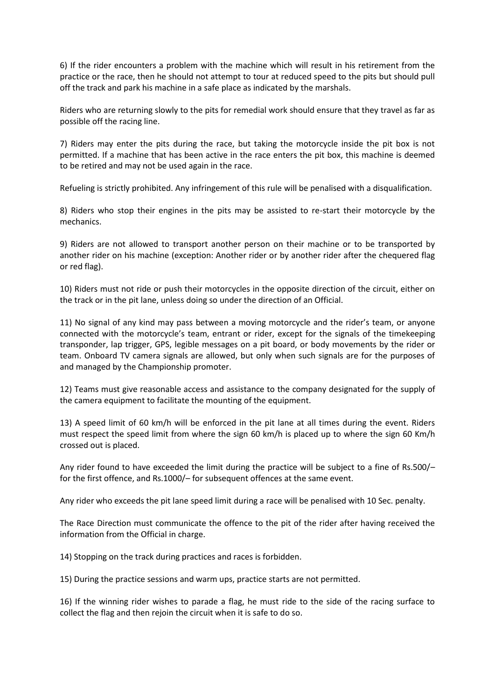6) If the rider encounters a problem with the machine which will result in his retirement from the practice or the race, then he should not attempt to tour at reduced speed to the pits but should pull off the track and park his machine in a safe place as indicated by the marshals.

Riders who are returning slowly to the pits for remedial work should ensure that they travel as far as possible off the racing line.

7) Riders may enter the pits during the race, but taking the motorcycle inside the pit box is not permitted. If a machine that has been active in the race enters the pit box, this machine is deemed to be retired and may not be used again in the race.

Refueling is strictly prohibited. Any infringement of this rule will be penalised with a disqualification.

8) Riders who stop their engines in the pits may be assisted to re-start their motorcycle by the mechanics.

9) Riders are not allowed to transport another person on their machine or to be transported by another rider on his machine (exception: Another rider or by another rider after the chequered flag or red flag).

10) Riders must not ride or push their motorcycles in the opposite direction of the circuit, either on the track or in the pit lane, unless doing so under the direction of an Official.

11) No signal of any kind may pass between a moving motorcycle and the rider's team, or anyone connected with the motorcycle's team, entrant or rider, except for the signals of the timekeeping transponder, lap trigger, GPS, legible messages on a pit board, or body movements by the rider or team. Onboard TV camera signals are allowed, but only when such signals are for the purposes of and managed by the Championship promoter.

12) Teams must give reasonable access and assistance to the company designated for the supply of the camera equipment to facilitate the mounting of the equipment.

13) A speed limit of 60 km/h will be enforced in the pit lane at all times during the event. Riders must respect the speed limit from where the sign 60 km/h is placed up to where the sign 60 Km/h crossed out is placed.

Any rider found to have exceeded the limit during the practice will be subject to a fine of Rs.500/– for the first offence, and Rs.1000/– for subsequent offences at the same event.

Any rider who exceeds the pit lane speed limit during a race will be penalised with 10 Sec. penalty.

The Race Direction must communicate the offence to the pit of the rider after having received the information from the Official in charge.

14) Stopping on the track during practices and races is forbidden.

15) During the practice sessions and warm ups, practice starts are not permitted.

16) If the winning rider wishes to parade a flag, he must ride to the side of the racing surface to collect the flag and then rejoin the circuit when it is safe to do so.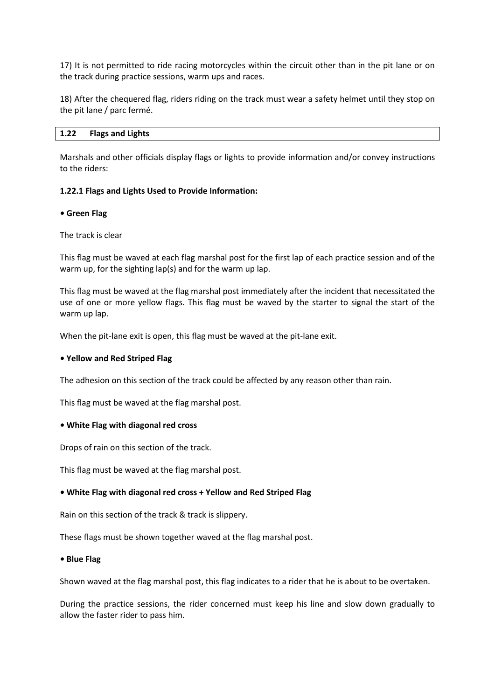17) It is not permitted to ride racing motorcycles within the circuit other than in the pit lane or on the track during practice sessions, warm ups and races.

18) After the chequered flag, riders riding on the track must wear a safety helmet until they stop on the pit lane / parc fermé.

## **1.22 Flags and Lights**

Marshals and other officials display flags or lights to provide information and/or convey instructions to the riders:

## **1.22.1 Flags and Lights Used to Provide Information:**

#### *•* **Green Flag**

## The track is clear

This flag must be waved at each flag marshal post for the first lap of each practice session and of the warm up, for the sighting lap(s) and for the warm up lap.

This flag must be waved at the flag marshal post immediately after the incident that necessitated the use of one or more yellow flags. This flag must be waved by the starter to signal the start of the warm up lap.

When the pit-lane exit is open, this flag must be waved at the pit-lane exit.

#### *•* **Yellow and Red Striped Flag**

The adhesion on this section of the track could be affected by any reason other than rain.

This flag must be waved at the flag marshal post.

#### *•* **White Flag with diagonal red cross**

Drops of rain on this section of the track.

This flag must be waved at the flag marshal post.

# *•* **White Flag with diagonal red cross + Yellow and Red Striped Flag**

Rain on this section of the track & track is slippery.

These flags must be shown together waved at the flag marshal post.

#### *•* **Blue Flag**

Shown waved at the flag marshal post, this flag indicates to a rider that he is about to be overtaken.

During the practice sessions, the rider concerned must keep his line and slow down gradually to allow the faster rider to pass him.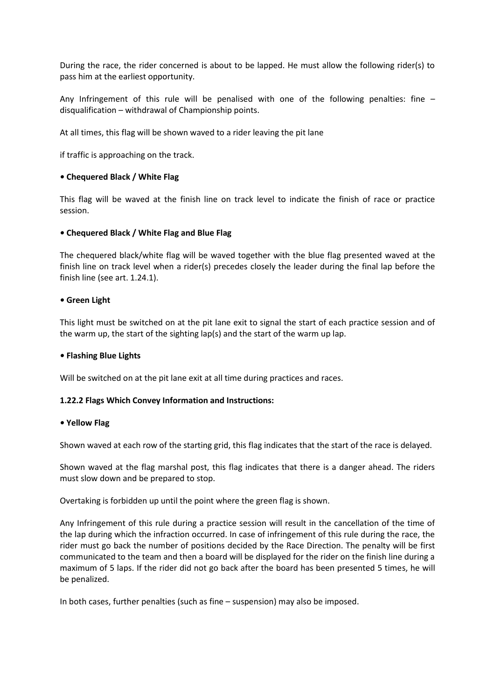During the race, the rider concerned is about to be lapped. He must allow the following rider(s) to pass him at the earliest opportunity.

Any Infringement of this rule will be penalised with one of the following penalties: fine – disqualification – withdrawal of Championship points.

At all times, this flag will be shown waved to a rider leaving the pit lane

if traffic is approaching on the track.

# *•* **Chequered Black / White Flag**

This flag will be waved at the finish line on track level to indicate the finish of race or practice session.

## *•* **Chequered Black / White Flag and Blue Flag**

The chequered black/white flag will be waved together with the blue flag presented waved at the finish line on track level when a rider(s) precedes closely the leader during the final lap before the finish line (see art. 1.24.1).

## *•* **Green Light**

This light must be switched on at the pit lane exit to signal the start of each practice session and of the warm up, the start of the sighting lap(s) and the start of the warm up lap.

#### *•* **Flashing Blue Lights**

Will be switched on at the pit lane exit at all time during practices and races.

# **1.22.2 Flags Which Convey Information and Instructions:**

#### *•* **Yellow Flag**

Shown waved at each row of the starting grid, this flag indicates that the start of the race is delayed.

Shown waved at the flag marshal post, this flag indicates that there is a danger ahead. The riders must slow down and be prepared to stop.

Overtaking is forbidden up until the point where the green flag is shown.

Any Infringement of this rule during a practice session will result in the cancellation of the time of the lap during which the infraction occurred. In case of infringement of this rule during the race, the rider must go back the number of positions decided by the Race Direction. The penalty will be first communicated to the team and then a board will be displayed for the rider on the finish line during a maximum of 5 laps. If the rider did not go back after the board has been presented 5 times, he will be penalized.

In both cases, further penalties (such as fine – suspension) may also be imposed.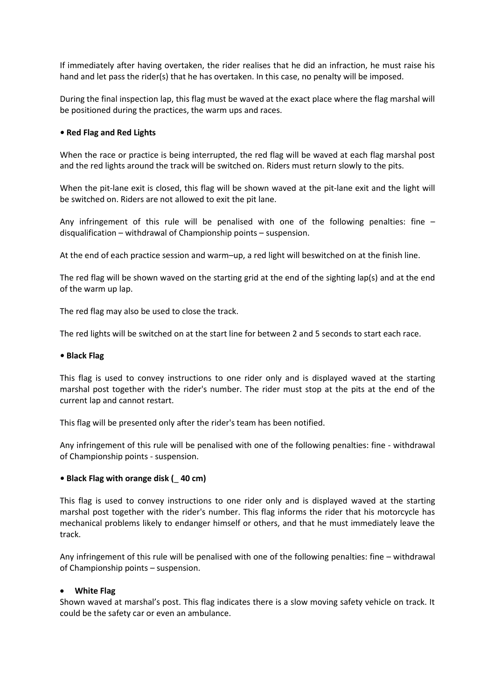If immediately after having overtaken, the rider realises that he did an infraction, he must raise his hand and let pass the rider(s) that he has overtaken. In this case, no penalty will be imposed.

During the final inspection lap, this flag must be waved at the exact place where the flag marshal will be positioned during the practices, the warm ups and races.

# *•* **Red Flag and Red Lights**

When the race or practice is being interrupted, the red flag will be waved at each flag marshal post and the red lights around the track will be switched on. Riders must return slowly to the pits.

When the pit-lane exit is closed, this flag will be shown waved at the pit-lane exit and the light will be switched on. Riders are not allowed to exit the pit lane.

Any infringement of this rule will be penalised with one of the following penalties: fine – disqualification – withdrawal of Championship points – suspension.

At the end of each practice session and warm–up, a red light will beswitched on at the finish line.

The red flag will be shown waved on the starting grid at the end of the sighting lap(s) and at the end of the warm up lap.

The red flag may also be used to close the track.

The red lights will be switched on at the start line for between 2 and 5 seconds to start each race.

#### *•* **Black Flag**

This flag is used to convey instructions to one rider only and is displayed waved at the starting marshal post together with the rider's number. The rider must stop at the pits at the end of the current lap and cannot restart.

This flag will be presented only after the rider's team has been notified.

Any infringement of this rule will be penalised with one of the following penalties: fine - withdrawal of Championship points - suspension.

# *•* **Black Flag with orange disk (**\_ **40 cm)**

This flag is used to convey instructions to one rider only and is displayed waved at the starting marshal post together with the rider's number. This flag informs the rider that his motorcycle has mechanical problems likely to endanger himself or others, and that he must immediately leave the track.

Any infringement of this rule will be penalised with one of the following penalties: fine – withdrawal of Championship points – suspension.

#### **White Flag**

Shown waved at marshal's post. This flag indicates there is a slow moving safety vehicle on track. It could be the safety car or even an ambulance.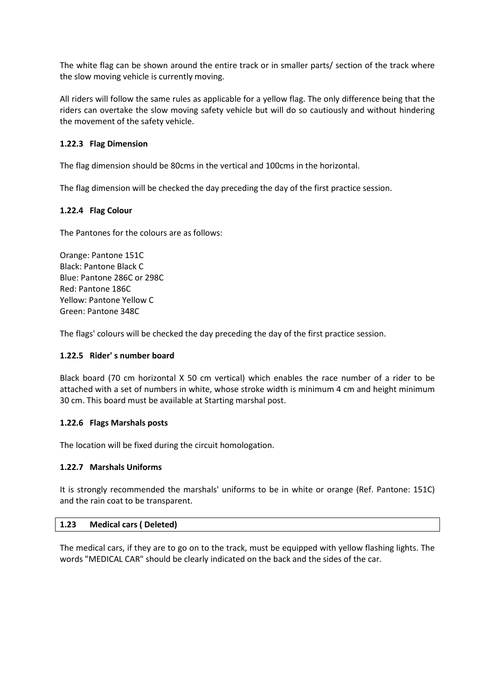The white flag can be shown around the entire track or in smaller parts/ section of the track where the slow moving vehicle is currently moving.

All riders will follow the same rules as applicable for a yellow flag. The only difference being that the riders can overtake the slow moving safety vehicle but will do so cautiously and without hindering the movement of the safety vehicle.

# **1.22.3 Flag Dimension**

The flag dimension should be 80cms in the vertical and 100cms in the horizontal.

The flag dimension will be checked the day preceding the day of the first practice session.

# **1.22.4 Flag Colour**

The Pantones for the colours are as follows:

Orange: Pantone 151C Black: Pantone Black C Blue: Pantone 286C or 298C Red: Pantone 186C Yellow: Pantone Yellow C Green: Pantone 348C

The flags' colours will be checked the day preceding the day of the first practice session.

# **1.22.5 Rider' s number board**

Black board (70 cm horizontal X 50 cm vertical) which enables the race number of a rider to be attached with a set of numbers in white, whose stroke width is minimum 4 cm and height minimum 30 cm. This board must be available at Starting marshal post.

# **1.22.6 Flags Marshals posts**

The location will be fixed during the circuit homologation.

# **1.22.7 Marshals Uniforms**

It is strongly recommended the marshals' uniforms to be in white or orange (Ref. Pantone: 151C) and the rain coat to be transparent.

#### **1.23 Medical cars ( Deleted)**

The medical cars, if they are to go on to the track, must be equipped with yellow flashing lights. The words "MEDICAL CAR" should be clearly indicated on the back and the sides of the car.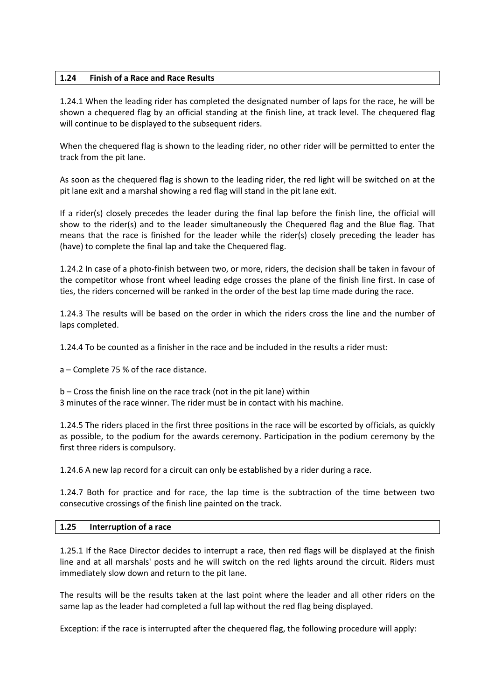# **1.24 Finish of a Race and Race Results**

1.24.1 When the leading rider has completed the designated number of laps for the race, he will be shown a chequered flag by an official standing at the finish line, at track level. The chequered flag will continue to be displayed to the subsequent riders.

When the chequered flag is shown to the leading rider, no other rider will be permitted to enter the track from the pit lane.

As soon as the chequered flag is shown to the leading rider, the red light will be switched on at the pit lane exit and a marshal showing a red flag will stand in the pit lane exit.

If a rider(s) closely precedes the leader during the final lap before the finish line, the official will show to the rider(s) and to the leader simultaneously the Chequered flag and the Blue flag. That means that the race is finished for the leader while the rider(s) closely preceding the leader has (have) to complete the final lap and take the Chequered flag.

1.24.2 In case of a photo-finish between two, or more, riders, the decision shall be taken in favour of the competitor whose front wheel leading edge crosses the plane of the finish line first. In case of ties, the riders concerned will be ranked in the order of the best lap time made during the race.

1.24.3 The results will be based on the order in which the riders cross the line and the number of laps completed.

1.24.4 To be counted as a finisher in the race and be included in the results a rider must:

a – Complete 75 % of the race distance.

b – Cross the finish line on the race track (not in the pit lane) within 3 minutes of the race winner. The rider must be in contact with his machine.

1.24.5 The riders placed in the first three positions in the race will be escorted by officials, as quickly as possible, to the podium for the awards ceremony. Participation in the podium ceremony by the first three riders is compulsory.

1.24.6 A new lap record for a circuit can only be established by a rider during a race.

1.24.7 Both for practice and for race, the lap time is the subtraction of the time between two consecutive crossings of the finish line painted on the track.

# **1.25 Interruption of a race**

1.25.1 If the Race Director decides to interrupt a race, then red flags will be displayed at the finish line and at all marshals' posts and he will switch on the red lights around the circuit. Riders must immediately slow down and return to the pit lane.

The results will be the results taken at the last point where the leader and all other riders on the same lap as the leader had completed a full lap without the red flag being displayed.

Exception: if the race is interrupted after the chequered flag, the following procedure will apply: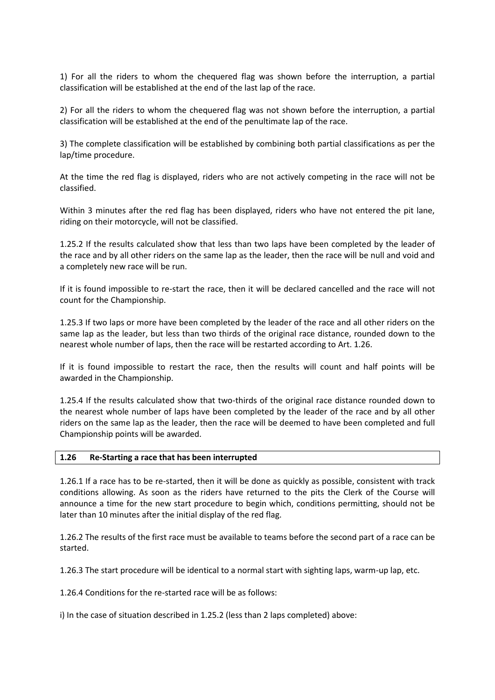1) For all the riders to whom the chequered flag was shown before the interruption, a partial classification will be established at the end of the last lap of the race.

2) For all the riders to whom the chequered flag was not shown before the interruption, a partial classification will be established at the end of the penultimate lap of the race.

3) The complete classification will be established by combining both partial classifications as per the lap/time procedure.

At the time the red flag is displayed, riders who are not actively competing in the race will not be classified.

Within 3 minutes after the red flag has been displayed, riders who have not entered the pit lane, riding on their motorcycle, will not be classified.

1.25.2 If the results calculated show that less than two laps have been completed by the leader of the race and by all other riders on the same lap as the leader, then the race will be null and void and a completely new race will be run.

If it is found impossible to re-start the race, then it will be declared cancelled and the race will not count for the Championship.

1.25.3 If two laps or more have been completed by the leader of the race and all other riders on the same lap as the leader, but less than two thirds of the original race distance, rounded down to the nearest whole number of laps, then the race will be restarted according to Art. 1.26.

If it is found impossible to restart the race, then the results will count and half points will be awarded in the Championship.

1.25.4 If the results calculated show that two-thirds of the original race distance rounded down to the nearest whole number of laps have been completed by the leader of the race and by all other riders on the same lap as the leader, then the race will be deemed to have been completed and full Championship points will be awarded.

# **1.26 Re-Starting a race that has been interrupted**

1.26.1 If a race has to be re-started, then it will be done as quickly as possible, consistent with track conditions allowing. As soon as the riders have returned to the pits the Clerk of the Course will announce a time for the new start procedure to begin which, conditions permitting, should not be later than 10 minutes after the initial display of the red flag.

1.26.2 The results of the first race must be available to teams before the second part of a race can be started.

1.26.3 The start procedure will be identical to a normal start with sighting laps, warm-up lap, etc.

1.26.4 Conditions for the re-started race will be as follows:

i) In the case of situation described in 1.25.2 (less than 2 laps completed) above: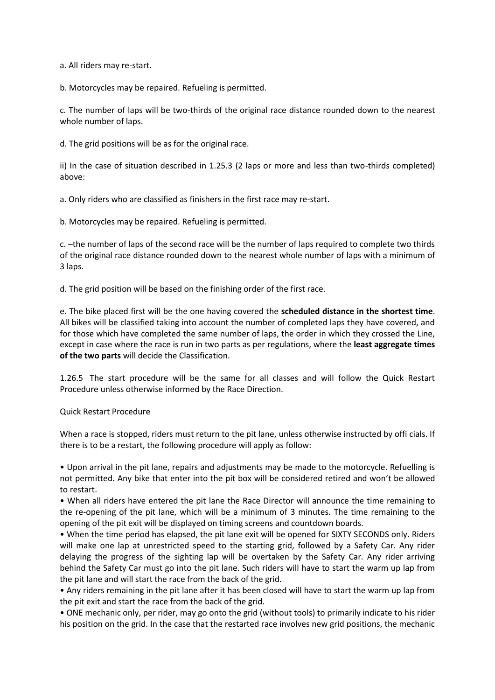a. All riders may re-start.

b. Motorcycles may be repaired. Refueling is permitted.

c. The number of laps will be two-thirds of the original race distance rounded down to the nearest whole number of laps.

d. The grid positions will be as for the original race.

ii) In the case of situation described in 1.25.3 (2 laps or more and less than two-thirds completed) above:

a. Only riders who are classified as finishers in the first race may re-start.

b. Motorcycles may be repaired. Refueling is permitted.

c. –the number of laps of the second race will be the number of laps required to complete two thirds of the original race distance rounded down to the nearest whole number of laps with a minimum of 3 laps.

d. The grid position will be based on the finishing order of the first race.

e. The bike placed first will be the one having covered the **scheduled distance in the shortest time**. All bikes will be classified taking into account the number of completed laps they have covered, and for those which have completed the same number of laps, the order in which they crossed the Line, except in case where the race is run in two parts as per regulations, where the **least aggregate times of the two parts** will decide the Classification.

1.26.5 The start procedure will be the same for all classes and will follow the Quick Restart Procedure unless otherwise informed by the Race Direction.

#### Quick Restart Procedure

When a race is stopped, riders must return to the pit lane, unless otherwise instructed by offi cials. If there is to be a restart, the following procedure will apply as follow:

• Upon arrival in the pit lane, repairs and adjustments may be made to the motorcycle. Refuelling is not permitted. Any bike that enter into the pit box will be considered retired and won't be allowed to restart.

• When all riders have entered the pit lane the Race Director will announce the time remaining to the re-opening of the pit lane, which will be a minimum of 3 minutes. The time remaining to the opening of the pit exit will be displayed on timing screens and countdown boards.

• When the time period has elapsed, the pit lane exit will be opened for SIXTY SECONDS only. Riders will make one lap at unrestricted speed to the starting grid, followed by a Safety Car. Any rider delaying the progress of the sighting lap will be overtaken by the Safety Car. Any rider arriving behind the Safety Car must go into the pit lane. Such riders will have to start the warm up lap from the pit lane and will start the race from the back of the grid.

• Any riders remaining in the pit lane after it has been closed will have to start the warm up lap from the pit exit and start the race from the back of the grid.

• ONE mechanic only, per rider, may go onto the grid (without tools) to primarily indicate to his rider his position on the grid. In the case that the restarted race involves new grid positions, the mechanic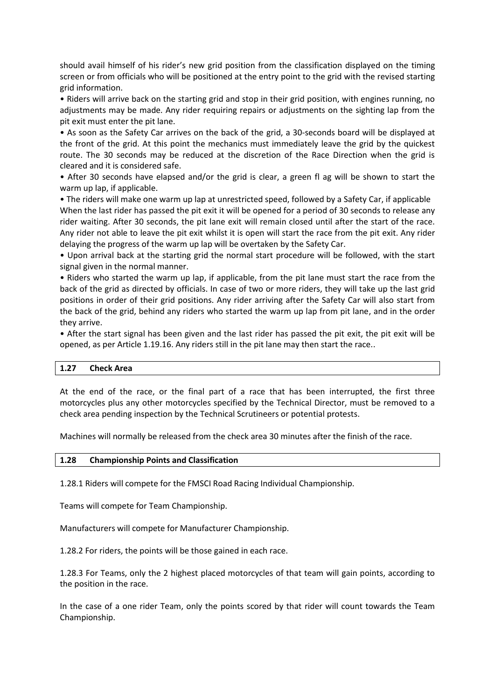should avail himself of his rider's new grid position from the classification displayed on the timing screen or from officials who will be positioned at the entry point to the grid with the revised starting grid information.

• Riders will arrive back on the starting grid and stop in their grid position, with engines running, no adjustments may be made. Any rider requiring repairs or adjustments on the sighting lap from the pit exit must enter the pit lane.

• As soon as the Safety Car arrives on the back of the grid, a 30-seconds board will be displayed at the front of the grid. At this point the mechanics must immediately leave the grid by the quickest route. The 30 seconds may be reduced at the discretion of the Race Direction when the grid is cleared and it is considered safe.

• After 30 seconds have elapsed and/or the grid is clear, a green fl ag will be shown to start the warm up lap, if applicable.

• The riders will make one warm up lap at unrestricted speed, followed by a Safety Car, if applicable When the last rider has passed the pit exit it will be opened for a period of 30 seconds to release any rider waiting. After 30 seconds, the pit lane exit will remain closed until after the start of the race. Any rider not able to leave the pit exit whilst it is open will start the race from the pit exit. Any rider delaying the progress of the warm up lap will be overtaken by the Safety Car.

• Upon arrival back at the starting grid the normal start procedure will be followed, with the start signal given in the normal manner.

• Riders who started the warm up lap, if applicable, from the pit lane must start the race from the back of the grid as directed by officials. In case of two or more riders, they will take up the last grid positions in order of their grid positions. Any rider arriving after the Safety Car will also start from the back of the grid, behind any riders who started the warm up lap from pit lane, and in the order they arrive.

• After the start signal has been given and the last rider has passed the pit exit, the pit exit will be opened, as per Article 1.19.16. Any riders still in the pit lane may then start the race..

#### **1.27 Check Area**

At the end of the race, or the final part of a race that has been interrupted, the first three motorcycles plus any other motorcycles specified by the Technical Director, must be removed to a check area pending inspection by the Technical Scrutineers or potential protests.

Machines will normally be released from the check area 30 minutes after the finish of the race.

#### **1.28 Championship Points and Classification**

1.28.1 Riders will compete for the FMSCI Road Racing Individual Championship.

Teams will compete for Team Championship.

Manufacturers will compete for Manufacturer Championship.

1.28.2 For riders, the points will be those gained in each race.

1.28.3 For Teams, only the 2 highest placed motorcycles of that team will gain points, according to the position in the race.

In the case of a one rider Team, only the points scored by that rider will count towards the Team Championship.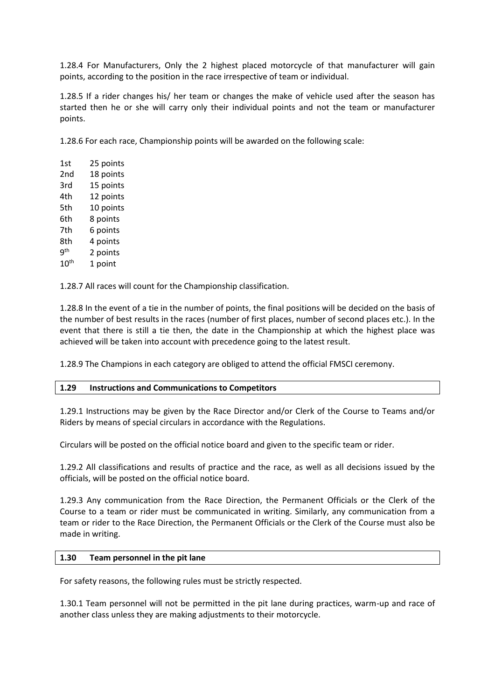1.28.4 For Manufacturers, Only the 2 highest placed motorcycle of that manufacturer will gain points, according to the position in the race irrespective of team or individual.

1.28.5 If a rider changes his/ her team or changes the make of vehicle used after the season has started then he or she will carry only their individual points and not the team or manufacturer points.

1.28.6 For each race, Championship points will be awarded on the following scale:

| 1st             | 25 points |
|-----------------|-----------|
| 2nd             | 18 points |
| 3rd             | 15 points |
| 4th             | 12 points |
| 5th             | 10 points |
| 6th             | 8 points  |
| 7th             | 6 points  |
| 8th             | 4 points  |
| q <sup>th</sup> | 2 points  |
| $10^{\sf th}$   | 1 point   |
|                 |           |

1.28.7 All races will count for the Championship classification.

1.28.8 In the event of a tie in the number of points, the final positions will be decided on the basis of the number of best results in the races (number of first places, number of second places etc.). In the event that there is still a tie then, the date in the Championship at which the highest place was achieved will be taken into account with precedence going to the latest result.

1.28.9 The Champions in each category are obliged to attend the official FMSCI ceremony.

#### **1.29 Instructions and Communications to Competitors**

1.29.1 Instructions may be given by the Race Director and/or Clerk of the Course to Teams and/or Riders by means of special circulars in accordance with the Regulations.

Circulars will be posted on the official notice board and given to the specific team or rider.

1.29.2 All classifications and results of practice and the race, as well as all decisions issued by the officials, will be posted on the official notice board.

1.29.3 Any communication from the Race Direction, the Permanent Officials or the Clerk of the Course to a team or rider must be communicated in writing. Similarly, any communication from a team or rider to the Race Direction, the Permanent Officials or the Clerk of the Course must also be made in writing.

#### **1.30 Team personnel in the pit lane**

For safety reasons, the following rules must be strictly respected.

1.30.1 Team personnel will not be permitted in the pit lane during practices, warm-up and race of another class unless they are making adjustments to their motorcycle.